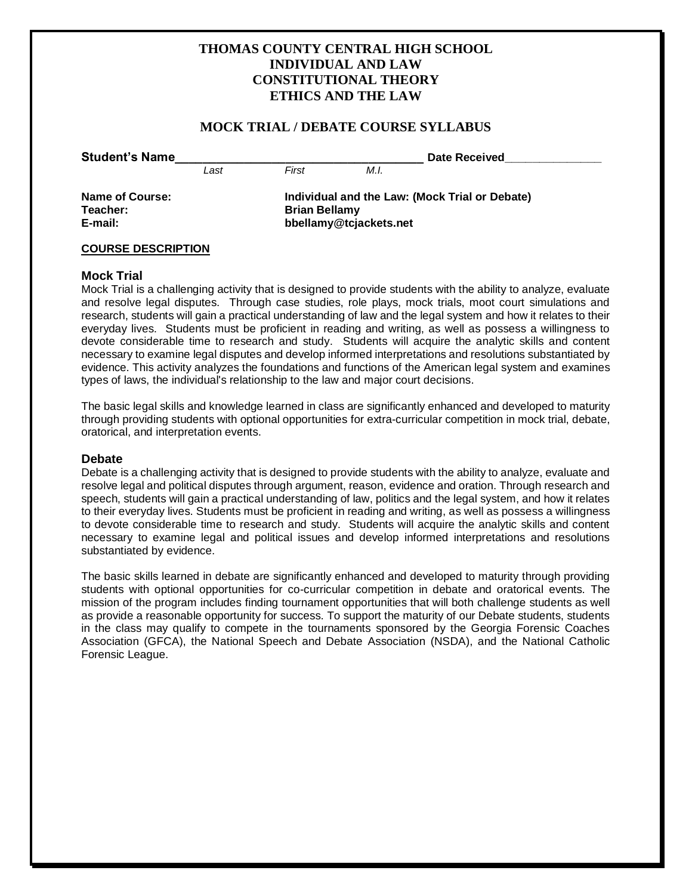## **THOMAS COUNTY CENTRAL HIGH SCHOOL INDIVIDUAL AND LAW CONSTITUTIONAL THEORY ETHICS AND THE LAW**

## **MOCK TRIAL / DEBATE COURSE SYLLABUS**

|  | <b>Student's Name</b> |
|--|-----------------------|
|  |                       |

*Last First M.I.*

**Date Received** 

**Teacher: Brian Bellamy** 

**Name of Course: Individual and the Law: (Mock Trial or Debate) E-mail: bbellamy@tcjackets.net**

## **COURSE DESCRIPTION**

## **Mock Trial**

Mock Trial is a challenging activity that is designed to provide students with the ability to analyze, evaluate and resolve legal disputes. Through case studies, role plays, mock trials, moot court simulations and research, students will gain a practical understanding of law and the legal system and how it relates to their everyday lives. Students must be proficient in reading and writing, as well as possess a willingness to devote considerable time to research and study. Students will acquire the analytic skills and content necessary to examine legal disputes and develop informed interpretations and resolutions substantiated by evidence. This activity analyzes the foundations and functions of the American legal system and examines types of laws, the individual's relationship to the law and major court decisions.

The basic legal skills and knowledge learned in class are significantly enhanced and developed to maturity through providing students with optional opportunities for extra-curricular competition in mock trial, debate, oratorical, and interpretation events.

## **Debate**

Debate is a challenging activity that is designed to provide students with the ability to analyze, evaluate and resolve legal and political disputes through argument, reason, evidence and oration. Through research and speech, students will gain a practical understanding of law, politics and the legal system, and how it relates to their everyday lives. Students must be proficient in reading and writing, as well as possess a willingness to devote considerable time to research and study. Students will acquire the analytic skills and content necessary to examine legal and political issues and develop informed interpretations and resolutions substantiated by evidence.

The basic skills learned in debate are significantly enhanced and developed to maturity through providing students with optional opportunities for co-curricular competition in debate and oratorical events. The mission of the program includes finding tournament opportunities that will both challenge students as well as provide a reasonable opportunity for success. To support the maturity of our Debate students, students in the class may qualify to compete in the tournaments sponsored by the Georgia Forensic Coaches Association (GFCA), the National Speech and Debate Association (NSDA), and the National Catholic Forensic League.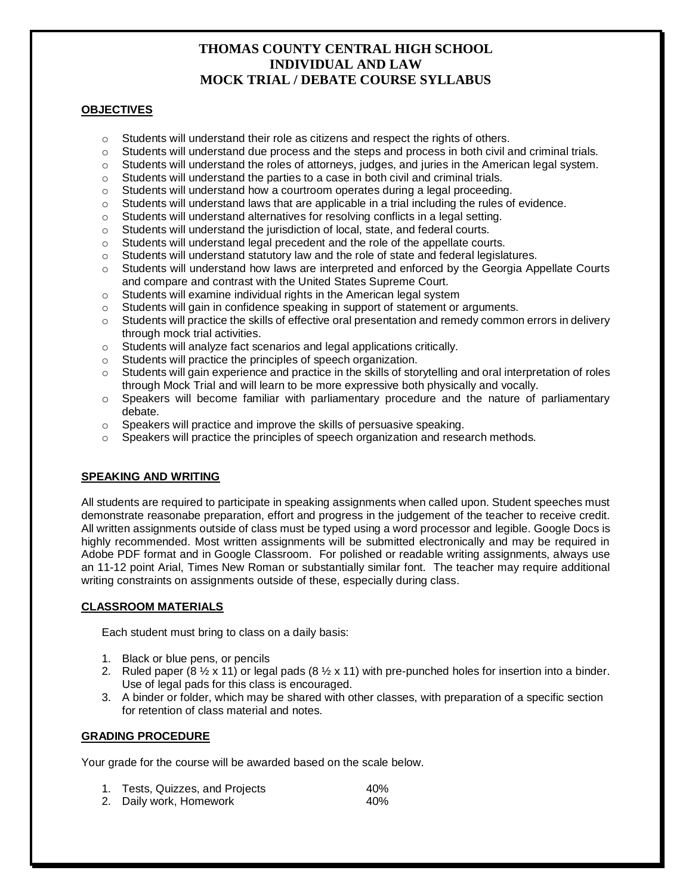## **OBJECTIVES**

- $\circ$  Students will understand their role as citizens and respect the rights of others.
- $\circ$  Students will understand due process and the steps and process in both civil and criminal trials.
- o Students will understand the roles of attorneys, judges, and juries in the American legal system.
- $\circ$  Students will understand the parties to a case in both civil and criminal trials.
- $\circ$  Students will understand how a courtroom operates during a legal proceeding.
- $\circ$  Students will understand laws that are applicable in a trial including the rules of evidence.
- o Students will understand alternatives for resolving conflicts in a legal setting.
- o Students will understand the jurisdiction of local, state, and federal courts.
- o Students will understand legal precedent and the role of the appellate courts.
- o Students will understand statutory law and the role of state and federal legislatures.
- $\circ$  Students will understand how laws are interpreted and enforced by the Georgia Appellate Courts and compare and contrast with the United States Supreme Court.
- o Students will examine individual rights in the American legal system
- $\circ$  Students will gain in confidence speaking in support of statement or arguments.
- $\circ$  Students will practice the skills of effective oral presentation and remedy common errors in delivery through mock trial activities.
- o Students will analyze fact scenarios and legal applications critically.
- o Students will practice the principles of speech organization.
- o Students will gain experience and practice in the skills of storytelling and oral interpretation of roles through Mock Trial and will learn to be more expressive both physically and vocally.
- o Speakers will become familiar with parliamentary procedure and the nature of parliamentary debate.
- o Speakers will practice and improve the skills of persuasive speaking.
- $\circ$  Speakers will practice the principles of speech organization and research methods.

## **SPEAKING AND WRITING**

All students are required to participate in speaking assignments when called upon. Student speeches must demonstrate reasonabe preparation, effort and progress in the judgement of the teacher to receive credit. All written assignments outside of class must be typed using a word processor and legible. Google Docs is highly recommended. Most written assignments will be submitted electronically and may be required in Adobe PDF format and in Google Classroom. For polished or readable writing assignments, always use an 11-12 point Arial, Times New Roman or substantially similar font. The teacher may require additional writing constraints on assignments outside of these, especially during class.

## **CLASSROOM MATERIALS**

Each student must bring to class on a daily basis:

- 1. Black or blue pens, or pencils
- 2. Ruled paper (8  $\frac{1}{2}$  x 11) or legal pads (8  $\frac{1}{2}$  x 11) with pre-punched holes for insertion into a binder. Use of legal pads for this class is encouraged.
- 3. A binder or folder, which may be shared with other classes, with preparation of a specific section for retention of class material and notes.

## **GRADING PROCEDURE**

Your grade for the course will be awarded based on the scale below.

| 1. Tests, Quizzes, and Projects | 40% |
|---------------------------------|-----|
| 2. Daily work, Homework         | 40% |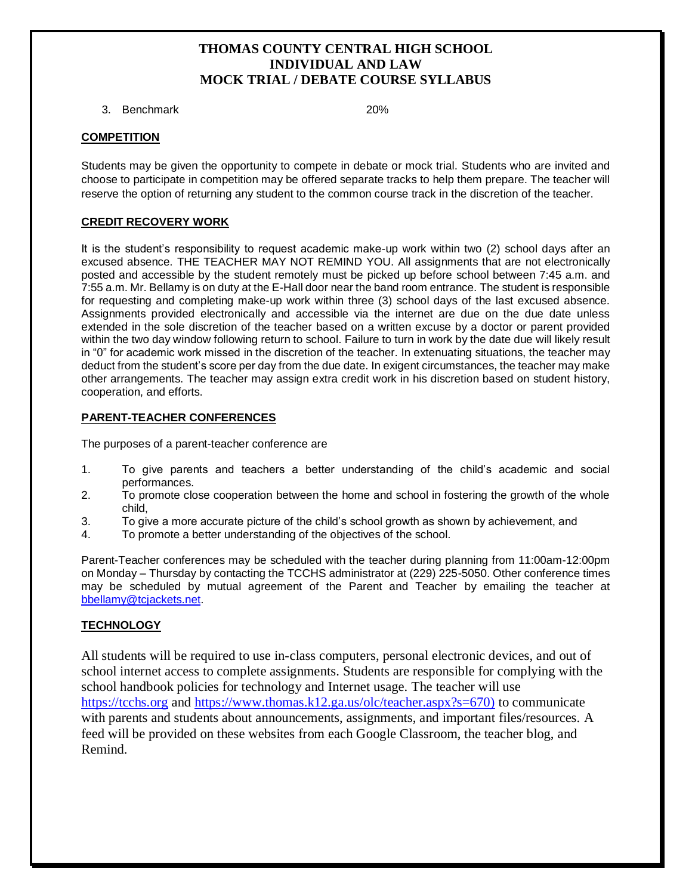3. Benchmark 20%

## **COMPETITION**

Students may be given the opportunity to compete in debate or mock trial. Students who are invited and choose to participate in competition may be offered separate tracks to help them prepare. The teacher will reserve the option of returning any student to the common course track in the discretion of the teacher.

## **CREDIT RECOVERY WORK**

It is the student's responsibility to request academic make-up work within two (2) school days after an excused absence. THE TEACHER MAY NOT REMIND YOU. All assignments that are not electronically posted and accessible by the student remotely must be picked up before school between 7:45 a.m. and 7:55 a.m. Mr. Bellamy is on duty at the E-Hall door near the band room entrance. The student is responsible for requesting and completing make-up work within three (3) school days of the last excused absence. Assignments provided electronically and accessible via the internet are due on the due date unless extended in the sole discretion of the teacher based on a written excuse by a doctor or parent provided within the two day window following return to school. Failure to turn in work by the date due will likely result in "0" for academic work missed in the discretion of the teacher. In extenuating situations, the teacher may deduct from the student's score per day from the due date. In exigent circumstances, the teacher may make other arrangements. The teacher may assign extra credit work in his discretion based on student history, cooperation, and efforts.

## **PARENT-TEACHER CONFERENCES**

The purposes of a parent-teacher conference are

- 1. To give parents and teachers a better understanding of the child's academic and social performances.
- 2. To promote close cooperation between the home and school in fostering the growth of the whole child,
- 3. To give a more accurate picture of the child's school growth as shown by achievement, and
- 4. To promote a better understanding of the objectives of the school.

Parent-Teacher conferences may be scheduled with the teacher during planning from 11:00am-12:00pm on Monday – Thursday by contacting the TCCHS administrator at (229) 225-5050. Other conference times may be scheduled by mutual agreement of the Parent and Teacher by emailing the teacher at bbellamy@tcjackets.net.

## **TECHNOLOGY**

All students will be required to use in-class computers, personal electronic devices, and out of school internet access to complete assignments. Students are responsible for complying with the school handbook policies for technology and Internet usage. The teacher will use [https://tcchs.org](https://tcchs.org/) and [https://www.thomas.k12.ga.us/olc/teacher.aspx?s=670\)](https://www.thomas.k12.ga.us/olc/teacher.aspx?s=670)) to communicate with parents and students about announcements, assignments, and important files/resources. A feed will be provided on these websites from each Google Classroom, the teacher blog, and Remind.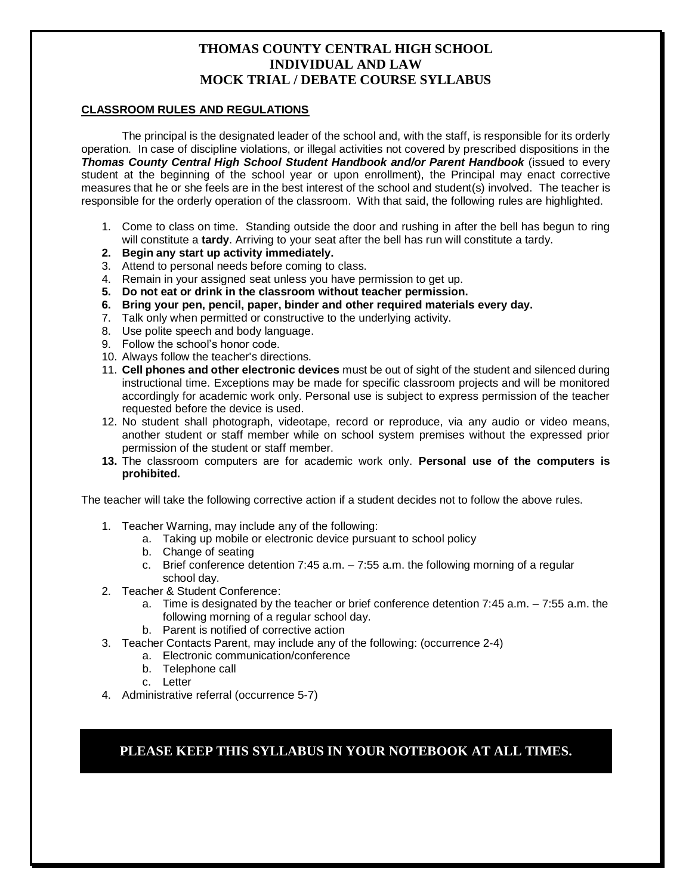## **CLASSROOM RULES AND REGULATIONS**

The principal is the designated leader of the school and, with the staff, is responsible for its orderly operation. In case of discipline violations, or illegal activities not covered by prescribed dispositions in the *Thomas County Central High School Student Handbook and/or Parent Handbook* (issued to every student at the beginning of the school year or upon enrollment), the Principal may enact corrective measures that he or she feels are in the best interest of the school and student(s) involved. The teacher is responsible for the orderly operation of the classroom. With that said, the following rules are highlighted.

- 1. Come to class on time. Standing outside the door and rushing in after the bell has begun to ring will constitute a **tardy**. Arriving to your seat after the bell has run will constitute a tardy.
- **2. Begin any start up activity immediately.**
- 3. Attend to personal needs before coming to class.
- 4. Remain in your assigned seat unless you have permission to get up.
- **5. Do not eat or drink in the classroom without teacher permission.**
- **6. Bring your pen, pencil, paper, binder and other required materials every day.**
- 7. Talk only when permitted or constructive to the underlying activity.
- 8. Use polite speech and body language.
- 9. Follow the school's honor code.
- 10. Always follow the teacher's directions.
- 11. **Cell phones and other electronic devices** must be out of sight of the student and silenced during instructional time. Exceptions may be made for specific classroom projects and will be monitored accordingly for academic work only. Personal use is subject to express permission of the teacher requested before the device is used.
- 12. No student shall photograph, videotape, record or reproduce, via any audio or video means, another student or staff member while on school system premises without the expressed prior permission of the student or staff member.
- **13.** The classroom computers are for academic work only. **Personal use of the computers is prohibited.**

The teacher will take the following corrective action if a student decides not to follow the above rules.

- 1. Teacher Warning, may include any of the following:
	- a. Taking up mobile or electronic device pursuant to school policy
	- b. Change of seating
	- c. Brief conference detention 7:45 a.m. 7:55 a.m. the following morning of a regular school day.
- 2. Teacher & Student Conference:
	- a. Time is designated by the teacher or brief conference detention 7:45 a.m. 7:55 a.m. the following morning of a regular school day.
	- b. Parent is notified of corrective action
- 3. Teacher Contacts Parent, may include any of the following: (occurrence 2-4)
	- a. Electronic communication/conference
	- b. Telephone call
	- c. Letter
- 4. Administrative referral (occurrence 5-7)

**PLEASE KEEP THIS SYLLABUS IN YOUR NOTEBOOK AT ALL TIMES.**